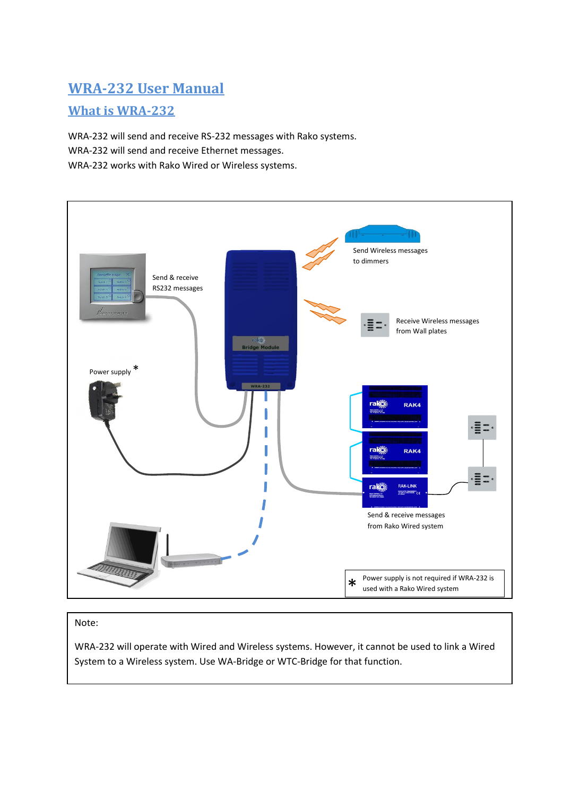# **WRA-232 User Manual**

## **What is WRA-232**

WRA-232 will send and receive RS-232 messages with Rako systems. WRA-232 will send and receive Ethernet messages. WRA-232 works with Rako Wired or Wireless systems.



### Note:

WRA-232 will operate with Wired and Wireless systems. However, it cannot be used to link a Wired System to a Wireless system. Use WA-Bridge or WTC-Bridge for that function.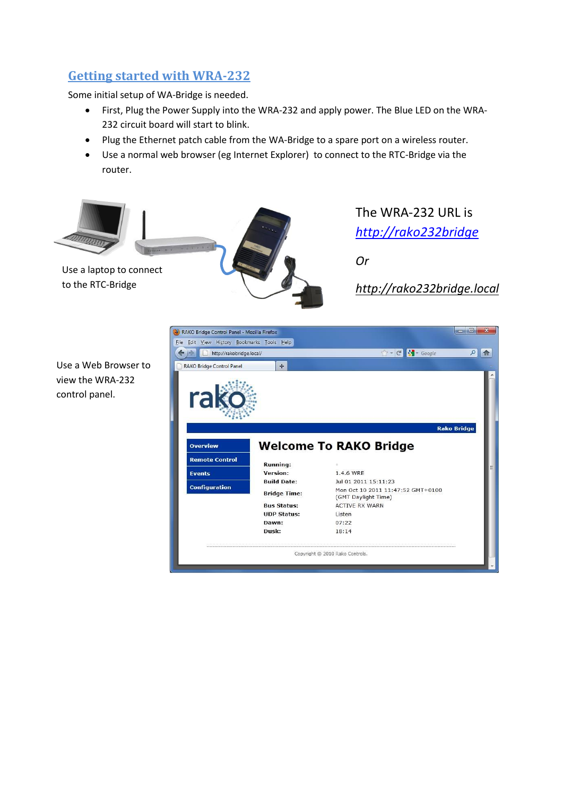# **Getting started with WRA-232**

Some initial setup of WA-Bridge is needed.

- First, Plug the Power Supply into the WRA-232 and apply power. The Blue LED on the WRA-232 circuit board will start to blink.
- Plug the Ethernet patch cable from the WA-Bridge to a spare port on a wireless router.
- Use a normal web browser (eg Internet Explorer) to connect to the RTC-Bridge via the router.



Use a Web Browser to view the WRA-232 control panel.

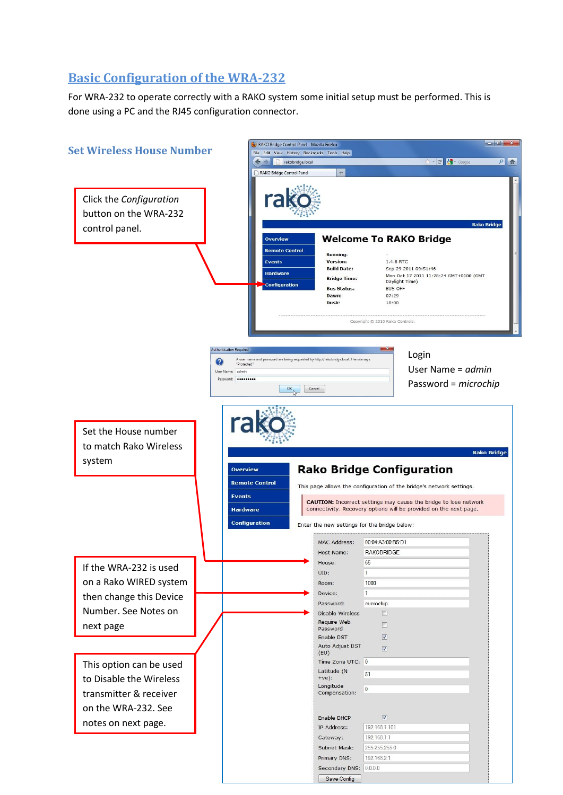# **Basic Configuration of the WRA-232**

For WRA-232 to operate correctly with a RAKO system some initial setup must be performed. This is done using a PC and the RJ45 configuration connector.

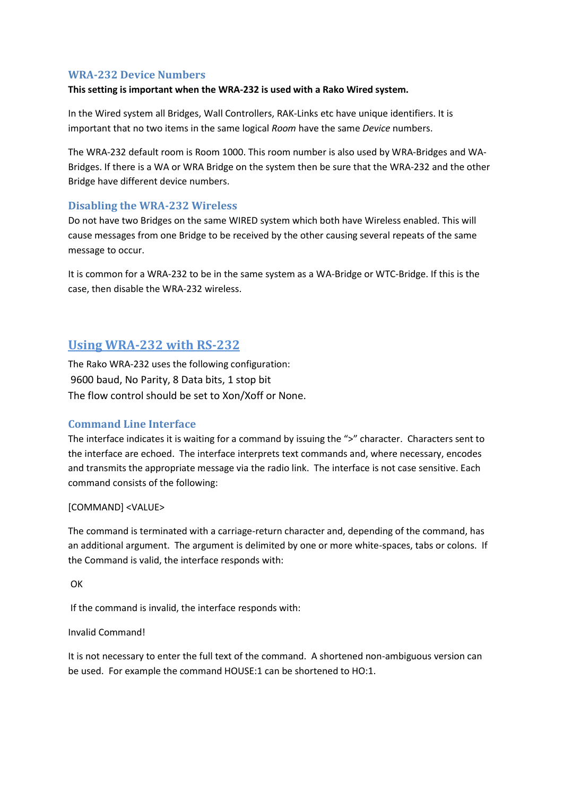#### **WRA-232 Device Numbers**

#### **This setting is important when the WRA-232 is used with a Rako Wired system.**

In the Wired system all Bridges, Wall Controllers, RAK-Links etc have unique identifiers. It is important that no two items in the same logical *Room* have the same *Device* numbers.

The WRA-232 default room is Room 1000. This room number is also used by WRA-Bridges and WA-Bridges. If there is a WA or WRA Bridge on the system then be sure that the WRA-232 and the other Bridge have different device numbers.

### **Disabling the WRA-232 Wireless**

Do not have two Bridges on the same WIRED system which both have Wireless enabled. This will cause messages from one Bridge to be received by the other causing several repeats of the same message to occur.

It is common for a WRA-232 to be in the same system as a WA-Bridge or WTC-Bridge. If this is the case, then disable the WRA-232 wireless.

## **Using WRA-232 with RS-232**

The Rako WRA-232 uses the following configuration: 9600 baud, No Parity, 8 Data bits, 1 stop bit The flow control should be set to Xon/Xoff or None.

### **Command Line Interface**

The interface indicates it is waiting for a command by issuing the ">" character. Characters sent to the interface are echoed. The interface interprets text commands and, where necessary, encodes and transmits the appropriate message via the radio link. The interface is not case sensitive. Each command consists of the following:

#### [COMMAND] <VALUE>

The command is terminated with a carriage-return character and, depending of the command, has an additional argument. The argument is delimited by one or more white-spaces, tabs or colons. If the Command is valid, the interface responds with:

**OK** 

If the command is invalid, the interface responds with:

#### Invalid Command!

It is not necessary to enter the full text of the command. A shortened non-ambiguous version can be used. For example the command HOUSE:1 can be shortened to HO:1.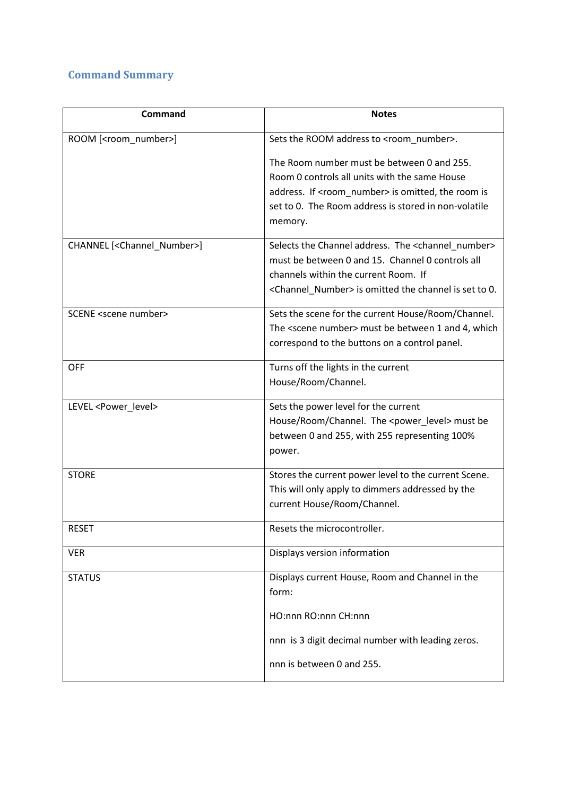# **Command Summary**

| Command                                      | <b>Notes</b>                                                       |
|----------------------------------------------|--------------------------------------------------------------------|
| ROOM [ <room_number>]</room_number>          | Sets the ROOM address to <room number="">.</room>                  |
|                                              | The Room number must be between 0 and 255.                         |
|                                              | Room 0 controls all units with the same House                      |
|                                              | address. If <room_number> is omitted, the room is</room_number>    |
|                                              | set to 0. The Room address is stored in non-volatile               |
|                                              | memory.                                                            |
| CHANNEL [ <channel_number>]</channel_number> | Selects the Channel address. The <channel_number></channel_number> |
|                                              | must be between 0 and 15. Channel 0 controls all                   |
|                                              | channels within the current Room. If                               |
|                                              | <channel number=""> is omitted the channel is set to 0.</channel>  |
| SCENE <scene number=""></scene>              | Sets the scene for the current House/Room/Channel.                 |
|                                              | The <scene number=""> must be between 1 and 4, which</scene>       |
|                                              | correspond to the buttons on a control panel.                      |
| <b>OFF</b>                                   | Turns off the lights in the current                                |
|                                              | House/Room/Channel.                                                |
| LEVEL <power_level></power_level>            | Sets the power level for the current                               |
|                                              | House/Room/Channel. The <power_level> must be</power_level>        |
|                                              | between 0 and 255, with 255 representing 100%                      |
|                                              | power.                                                             |
| <b>STORE</b>                                 | Stores the current power level to the current Scene.               |
|                                              | This will only apply to dimmers addressed by the                   |
|                                              | current House/Room/Channel.                                        |
| <b>RESET</b>                                 | Resets the microcontroller.                                        |
| <b>VER</b>                                   | Displays version information                                       |
| <b>STATUS</b>                                | Displays current House, Room and Channel in the                    |
|                                              | form:                                                              |
|                                              | HO:nnn RO:nnn CH:nnn                                               |
|                                              | nnn is 3 digit decimal number with leading zeros.                  |
|                                              | nnn is between 0 and 255.                                          |
|                                              |                                                                    |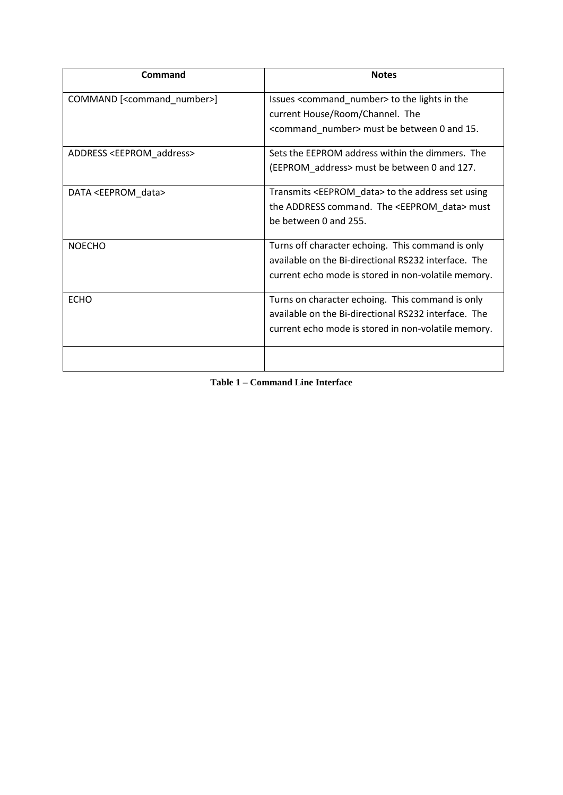| Command                                      | <b>Notes</b>                                                   |
|----------------------------------------------|----------------------------------------------------------------|
| COMMAND [ <command_number>]</command_number> | Issues <command_number> to the lights in the</command_number>  |
|                                              | current House/Room/Channel. The                                |
|                                              | <command_number> must be between 0 and 15.</command_number>    |
| ADDRESS <eeprom_address></eeprom_address>    | Sets the EEPROM address within the dimmers. The                |
|                                              | (EEPROM_address> must be between 0 and 127.                    |
| DATA <eeprom_data></eeprom_data>             | Transmits <eeprom_data> to the address set using</eeprom_data> |
|                                              | the ADDRESS command. The <eeprom_data> must</eeprom_data>      |
|                                              | be between 0 and 255.                                          |
| <b>NOECHO</b>                                | Turns off character echoing. This command is only              |
|                                              | available on the Bi-directional RS232 interface. The           |
|                                              | current echo mode is stored in non-volatile memory.            |
| <b>ECHO</b>                                  | Turns on character echoing. This command is only               |
|                                              | available on the Bi-directional RS232 interface. The           |
|                                              | current echo mode is stored in non-volatile memory.            |
|                                              |                                                                |

<span id="page-5-0"></span>**Table 1 – Command Line Interface**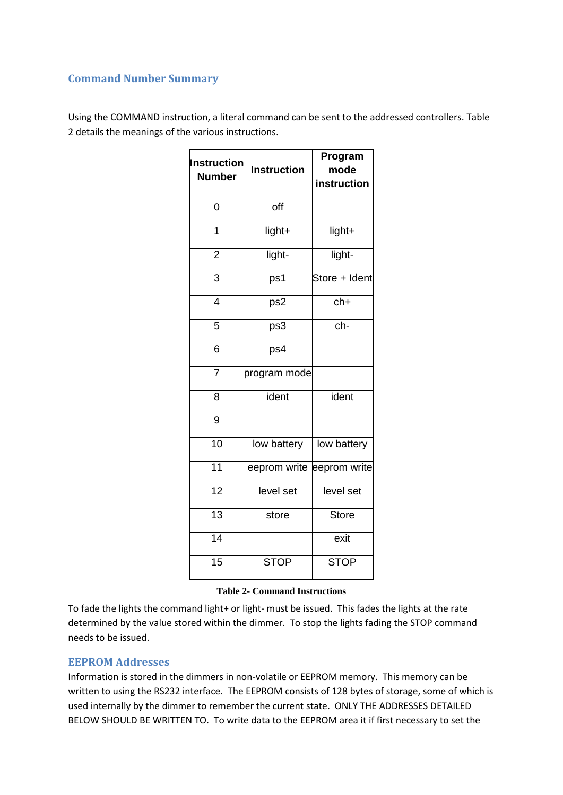### **Command Number Summary**

Using the COMMAND instruction, a literal command can be sent to the addressed controllers. [Table](#page-6-0)  [2](#page-6-0) details the meanings of the various instructions.

| <b>Instruction</b><br><b>Number</b> | <b>Instruction</b> | Program<br>mode<br>instruction |
|-------------------------------------|--------------------|--------------------------------|
| 0                                   | off                |                                |
| $\overline{1}$                      | light+             | light+                         |
| $\overline{2}$                      | light-             | light-                         |
| $\overline{3}$                      | ps1                | Store + Ident                  |
| $\overline{4}$                      | ps2                | $\overline{ch+}$               |
| 5                                   | ps3                | ch-                            |
| 6                                   | ps4                |                                |
| $\overline{7}$                      | program mode       |                                |
| 8                                   | ident              | ident                          |
| $\overline{9}$                      |                    |                                |
| $\overline{10}$                     | low battery        | low battery                    |
| 11                                  | eeprom write       | eeprom write                   |
| $\overline{12}$                     | level set          | level set                      |
| $\overline{13}$                     | store              | <b>Store</b>                   |
| $\overline{14}$                     |                    | exit                           |
| $\overline{15}$                     | <b>STOP</b>        | <b>STOP</b>                    |

#### **Table 2- Command Instructions**

<span id="page-6-0"></span>To fade the lights the command light+ or light- must be issued. This fades the lights at the rate determined by the value stored within the dimmer. To stop the lights fading the STOP command needs to be issued.

#### **EEPROM Addresses**

Information is stored in the dimmers in non-volatile or EEPROM memory. This memory can be written to using the RS232 interface. The EEPROM consists of 128 bytes of storage, some of which is used internally by the dimmer to remember the current state. ONLY THE ADDRESSES DETAILED BELOW SHOULD BE WRITTEN TO. To write data to the EEPROM area it if first necessary to set the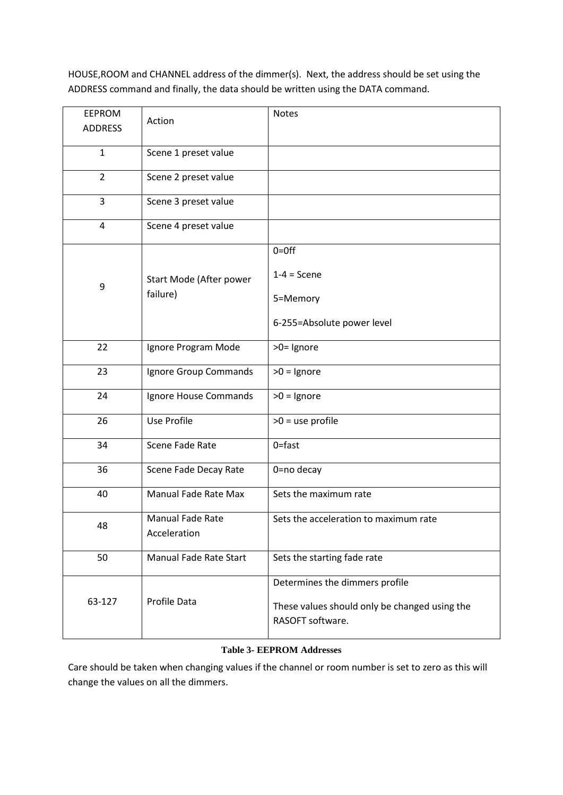HOUSE,ROOM and CHANNEL address of the dimmer(s). Next, the address should be set using the ADDRESS command and finally, the data should be written using the DATA command.

| <b>EEPROM</b>                            |                                  | <b>Notes</b>                                                      |
|------------------------------------------|----------------------------------|-------------------------------------------------------------------|
| <b>ADDRESS</b>                           | Action                           |                                                                   |
|                                          |                                  |                                                                   |
| $\mathbf{1}$                             | Scene 1 preset value             |                                                                   |
| $\overline{2}$                           | Scene 2 preset value             |                                                                   |
| 3                                        | Scene 3 preset value             |                                                                   |
| 4                                        | Scene 4 preset value             |                                                                   |
| Start Mode (After power<br>9<br>failure) |                                  | $0=0$ ff                                                          |
|                                          |                                  | $1-4 =$ Scene                                                     |
|                                          | 5=Memory                         |                                                                   |
|                                          | 6-255=Absolute power level       |                                                                   |
| 22                                       | Ignore Program Mode              | >0= Ignore                                                        |
| 23                                       | Ignore Group Commands            | $>0$ = Ignore                                                     |
| 24                                       | Ignore House Commands            | $>0$ = Ignore                                                     |
| 26                                       | Use Profile                      | $>0$ = use profile                                                |
| 34                                       | Scene Fade Rate                  | $0 =$ fast                                                        |
| 36                                       | Scene Fade Decay Rate            | 0=no decay                                                        |
| 40                                       | <b>Manual Fade Rate Max</b>      | Sets the maximum rate                                             |
| 48                                       | Manual Fade Rate<br>Acceleration | Sets the acceleration to maximum rate                             |
| 50                                       | <b>Manual Fade Rate Start</b>    | Sets the starting fade rate                                       |
| 63-127                                   | Profile Data                     | Determines the dimmers profile                                    |
|                                          |                                  | These values should only be changed using the<br>RASOFT software. |

#### **Table 3- EEPROM Addresses**

Care should be taken when changing values if the channel or room number is set to zero as this will change the values on all the dimmers.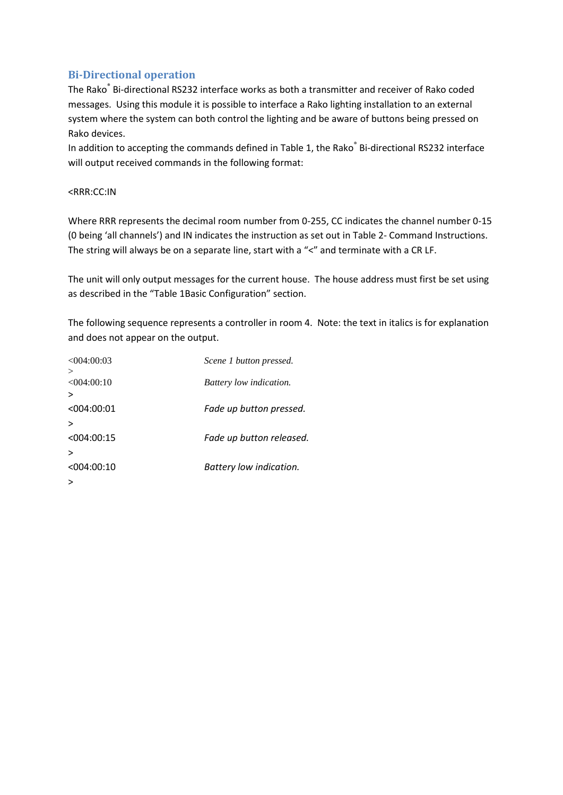### **Bi-Directional operation**

The Rako<sup>®</sup> Bi-directional RS232 interface works as both a transmitter and receiver of Rako coded messages. Using this module it is possible to interface a Rako lighting installation to an external system where the system can both control the lighting and be aware of buttons being pressed on Rako devices.

In addition to accepting the commands defined i[n Table 1,](#page-5-0) the Rako<sup>®</sup> Bi-directional RS232 interface will output received commands in the following format:

#### <RRR:CC:IN

Where RRR represents the decimal room number from 0-255, CC indicates the channel number 0-15 (0 being 'all channels') and IN indicates the instruction as set out in Table 2- [Command Instructions.](#page-6-0) The string will always be on a separate line, start with a "<" and terminate with a CR LF.

The unit will only output messages for the current house. The house address must first be set using as described in the "[Table 1](#page-5-0)Basic Configuration" section.

The following sequence represents a controller in room 4. Note: the text in italics is for explanation and does not appear on the output.

| <004:00:03      | Scene 1 button pressed.  |
|-----------------|--------------------------|
|                 |                          |
| $< 0.04$ :00:10 | Battery low indication.  |
| >               |                          |
| < 004:00:01     | Fade up button pressed.  |
|                 |                          |
| <004:00:15      | Fade up button released. |
|                 |                          |
| <004:00:10      | Battery low indication.  |
|                 |                          |